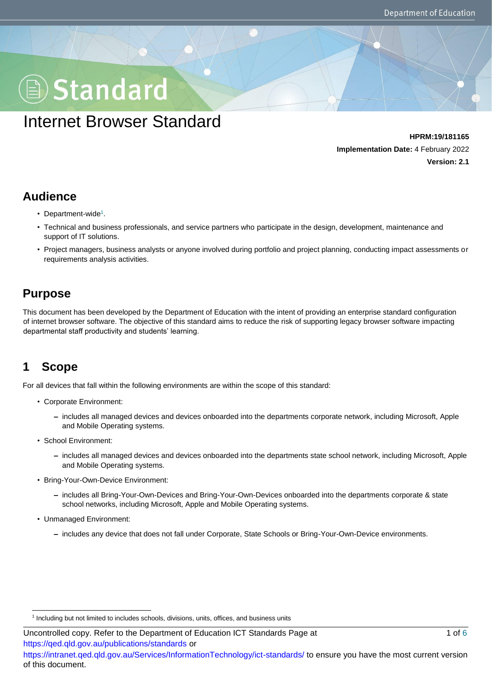# Standard

## Internet Browser Standard

**HPRM:19/181165 Implementation Date:** 4 February 2022 **Version: 2.1**

#### **Audience**

- Department-wide<sup>1</sup>.
- Technical and business professionals, and service partners who participate in the design, development, maintenance and support of IT solutions.
- Project managers, business analysts or anyone involved during portfolio and project planning, conducting impact assessments or requirements analysis activities.

#### **Purpose**

This document has been developed by the Department of Education with the intent of providing an enterprise standard configuration of internet browser software. The objective of this standard aims to reduce the risk of supporting legacy browser software impacting departmental staff productivity and students' learning.

## **1 Scope**

l

For all devices that fall within the following environments are within the scope of this standard:

- Corporate Environment:
	- **–** includes all managed devices and devices onboarded into the departments corporate network, including Microsoft, Apple and Mobile Operating systems.
- School Environment:
	- **–** includes all managed devices and devices onboarded into the departments state school network, including Microsoft, Apple and Mobile Operating systems.
- Bring-Your-Own-Device Environment:
	- **–** includes all Bring-Your-Own-Devices and Bring-Your-Own-Devices onboarded into the departments corporate & state school networks, including Microsoft, Apple and Mobile Operating systems.
- Unmanaged Environment:
	- **–** includes any device that does not fall under Corporate, State Schools or Bring-Your-Own-Device environments.

1 Including but not limited to includes schools, divisions, units, offices, and business units

https://qed.qld.gov.au/publications/standards or https://intranet.qed.qld.gov.au/Services/InformationTechnology/ict-standards/ to ensure you have the most current version of this document.

Uncontrolled copy. Refer to the Department of Education ICT Standards Page at 1 01 0 1 of 6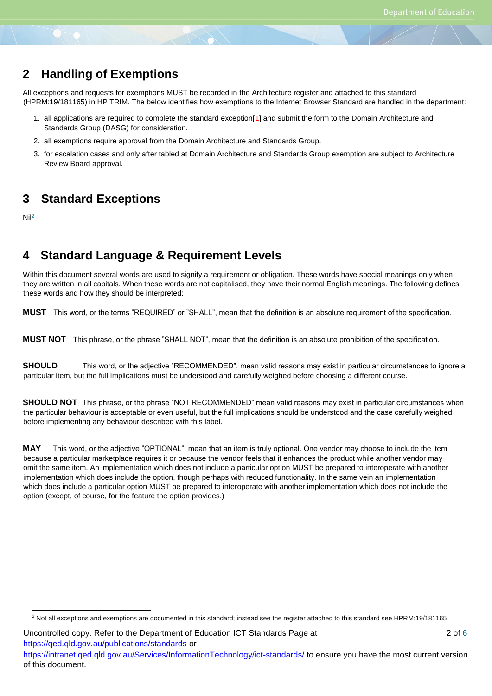#### **2 Handling of Exemptions**

All exceptions and requests for exemptions MUST be recorded in the Architecture register and attached to this standard (HPRM:19/181165) in HP TRIM. The below identifies how exemptions to the Internet Browser Standard are handled in the department:

- 1. all applications are required to complete the standard exception[1] and submit the form to the Domain Architecture and Standards Group (DASG) for consideration.
- 2. all exemptions require approval from the Domain Architecture and Standards Group.
- 3. for escalation cases and only after tabled at Domain Architecture and Standards Group exemption are subject to Architecture Review Board approval.

#### **3 Standard Exceptions**

Nil<sup>2</sup>

l

#### **4 Standard Language & Requirement Levels**

Within this document several words are used to signify a requirement or obligation. These words have special meanings only when they are written in all capitals. When these words are not capitalised, they have their normal English meanings. The following defines these words and how they should be interpreted:

**MUST** This word, or the terms "REQUIRED" or "SHALL", mean that the definition is an absolute requirement of the specification.

**MUST NOT** This phrase, or the phrase "SHALL NOT", mean that the definition is an absolute prohibition of the specification.

**SHOULD** This word, or the adjective "RECOMMENDED", mean valid reasons may exist in particular circumstances to ignore a particular item, but the full implications must be understood and carefully weighed before choosing a different course.

**SHOULD NOT** This phrase, or the phrase "NOT RECOMMENDED" mean valid reasons may exist in particular circumstances when the particular behaviour is acceptable or even useful, but the full implications should be understood and the case carefully weighed before implementing any behaviour described with this label.

**MAY** This word, or the adjective "OPTIONAL", mean that an item is truly optional. One vendor may choose to include the item because a particular marketplace requires it or because the vendor feels that it enhances the product while another vendor may omit the same item. An implementation which does not include a particular option MUST be prepared to interoperate with another implementation which does include the option, though perhaps with reduced functionality. In the same vein an implementation which does include a particular option MUST be prepared to interoperate with another implementation which does not include the option (except, of course, for the feature the option provides.)

Uncontrolled copy. Refer to the Department of Education ICT Standards Page at 2 of 6 https://qed.qld.gov.au/publications/standards or https://intranet.qed.qld.gov.au/Services/InformationTechnology/ict-standards/ to ensure you have the most current version of this document.

<sup>&</sup>lt;sup>2</sup> Not all exceptions and exemptions are documented in this standard; instead see the register attached to this standard see HPRM:19/181165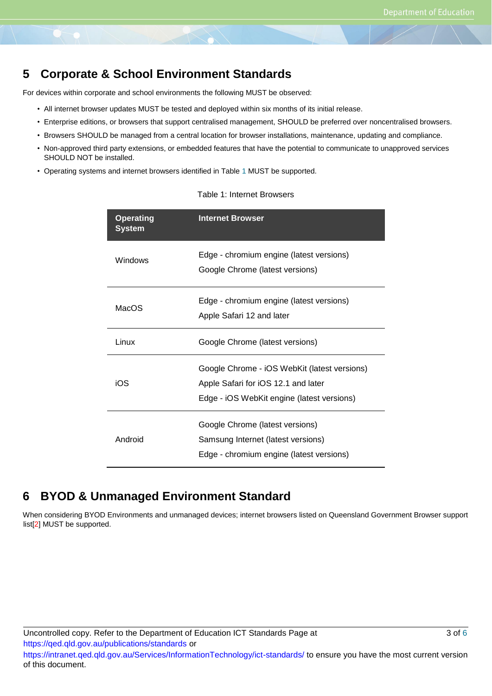#### **5 Corporate & School Environment Standards**

For devices within corporate and school environments the following MUST be observed:

- All internet browser updates MUST be tested and deployed within six months of its initial release.
- Enterprise editions, or browsers that support centralised management, SHOULD be preferred over noncentralised browsers.
- Browsers SHOULD be managed from a central location for browser installations, maintenance, updating and compliance.
- Non-approved third party extensions, or embedded features that have the potential to communicate to unapproved services SHOULD NOT be installed.
- Operating systems and internet browsers identified in Table 1 MUST be supported.

| <b>Operating</b><br><b>System</b> | <b>Internet Browser</b>                                                                                                           |  |  |
|-----------------------------------|-----------------------------------------------------------------------------------------------------------------------------------|--|--|
| Windows                           | Edge - chromium engine (latest versions)<br>Google Chrome (latest versions)                                                       |  |  |
| MacOS                             | Edge - chromium engine (latest versions)<br>Apple Safari 12 and later                                                             |  |  |
| Linux                             | Google Chrome (latest versions)                                                                                                   |  |  |
| iOS                               | Google Chrome - iOS WebKit (latest versions)<br>Apple Safari for iOS 12.1 and later<br>Edge - iOS WebKit engine (latest versions) |  |  |
| Android                           | Google Chrome (latest versions)<br>Samsung Internet (latest versions)<br>Edge - chromium engine (latest versions)                 |  |  |

#### Table 1: Internet Browsers

#### **6 BYOD & Unmanaged Environment Standard**

When considering BYOD Environments and unmanaged devices; internet browsers listed on Queensland Government Browser support list[2] MUST be supported.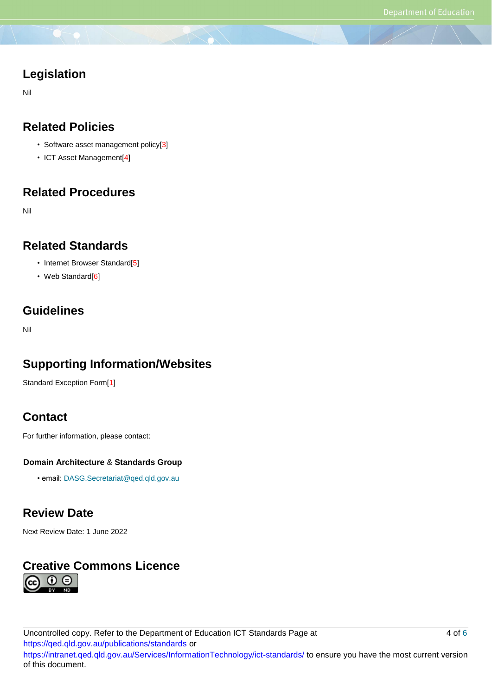#### **Legislation**

Nil

#### **Related Policies**

- Software asset management policy[3]
- ICT Asset Management[4]

#### **Related Procedures**

Nil

#### **Related Standards**

- Internet Browser Standard[5]
- Web Standard<sup>[6]</sup>

#### **Guidelines**

Nil

## **Supporting Information/Websites**

Standard Exception Form[1]

#### **Contact**

For further information, please contact:

#### **Domain Architecture** & **Standards Group**

• email: DASG.Secretariat@qed.qld.gov.au

#### **Review Date**

Next Review Date: 1 June 2022

## **Creative Commons Licence**( i )

Uncontrolled copy. Refer to the Department of Education ICT Standards Page at 4 of 6 https://qed.qld.gov.au/publications/standards or https://intranet.qed.qld.gov.au/Services/InformationTechnology/ict-standards/ to ensure you have the most current version of this document.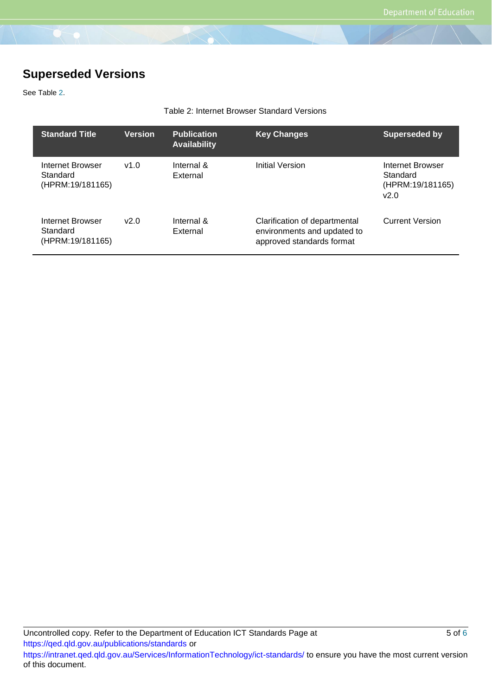## **Superseded Versions**

See Table 2.

#### Table 2: Internet Browser Standard Versions

| <b>Standard Title</b>                            | <b>Version</b> | <b>Publication</b><br><b>Availability</b> | <b>Key Changes</b>                                                                        | <b>Superseded by</b>                                     |
|--------------------------------------------------|----------------|-------------------------------------------|-------------------------------------------------------------------------------------------|----------------------------------------------------------|
| Internet Browser<br>Standard<br>(HPRM:19/181165) | v1.0           | Internal &<br>External                    | Initial Version                                                                           | Internet Browser<br>Standard<br>(HPRM:19/181165)<br>v2.0 |
| Internet Browser<br>Standard<br>(HPRM:19/181165) | v2.0           | Internal &<br>External                    | Clarification of departmental<br>environments and updated to<br>approved standards format | <b>Current Version</b>                                   |